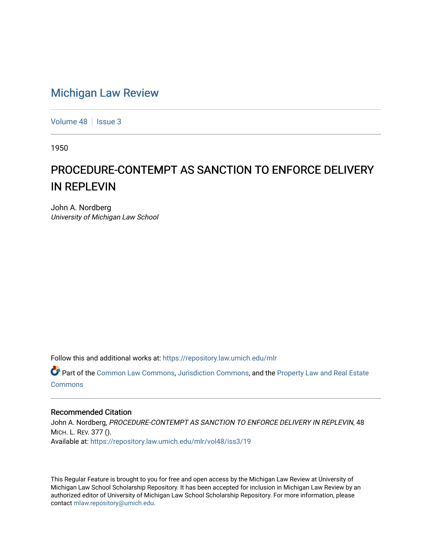## [Michigan Law Review](https://repository.law.umich.edu/mlr)

[Volume 48](https://repository.law.umich.edu/mlr/vol48) | [Issue 3](https://repository.law.umich.edu/mlr/vol48/iss3)

1950

## PROCEDURE-CONTEMPT AS SANCTION TO ENFORCE DELIVERY IN REPLEVIN

John A. Nordberg University of Michigan Law School

Follow this and additional works at: [https://repository.law.umich.edu/mlr](https://repository.law.umich.edu/mlr?utm_source=repository.law.umich.edu%2Fmlr%2Fvol48%2Fiss3%2F19&utm_medium=PDF&utm_campaign=PDFCoverPages) 

Part of the [Common Law Commons,](http://network.bepress.com/hgg/discipline/1120?utm_source=repository.law.umich.edu%2Fmlr%2Fvol48%2Fiss3%2F19&utm_medium=PDF&utm_campaign=PDFCoverPages) [Jurisdiction Commons,](http://network.bepress.com/hgg/discipline/850?utm_source=repository.law.umich.edu%2Fmlr%2Fvol48%2Fiss3%2F19&utm_medium=PDF&utm_campaign=PDFCoverPages) and the [Property Law and Real Estate](http://network.bepress.com/hgg/discipline/897?utm_source=repository.law.umich.edu%2Fmlr%2Fvol48%2Fiss3%2F19&utm_medium=PDF&utm_campaign=PDFCoverPages)  [Commons](http://network.bepress.com/hgg/discipline/897?utm_source=repository.law.umich.edu%2Fmlr%2Fvol48%2Fiss3%2F19&utm_medium=PDF&utm_campaign=PDFCoverPages)

## Recommended Citation

John A. Nordberg, PROCEDURE-CONTEMPT AS SANCTION TO ENFORCE DELIVERY IN REPLEVIN, 48 MICH. L. REV. 377 (). Available at: [https://repository.law.umich.edu/mlr/vol48/iss3/19](https://repository.law.umich.edu/mlr/vol48/iss3/19?utm_source=repository.law.umich.edu%2Fmlr%2Fvol48%2Fiss3%2F19&utm_medium=PDF&utm_campaign=PDFCoverPages) 

This Regular Feature is brought to you for free and open access by the Michigan Law Review at University of Michigan Law School Scholarship Repository. It has been accepted for inclusion in Michigan Law Review by an authorized editor of University of Michigan Law School Scholarship Repository. For more information, please contact [mlaw.repository@umich.edu](mailto:mlaw.repository@umich.edu).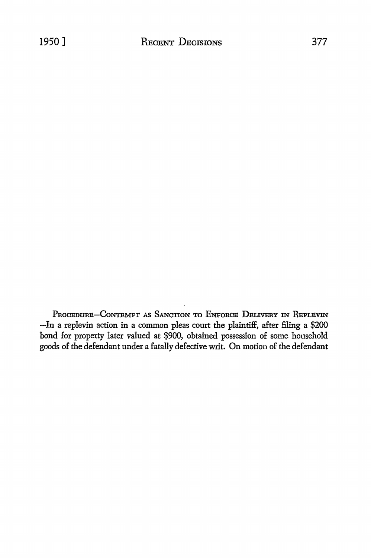PROCEDURE-CONTEMPT AS SANCTION TO ENFORCE DELIVERY IN REPLEVIN -In a replevin action in a common pleas court the plaintiff, after filing a \$200 bond for property later valued at \$900, obtained possession of some household goods of the defendant under a fatally defective writ. On motion of the defendant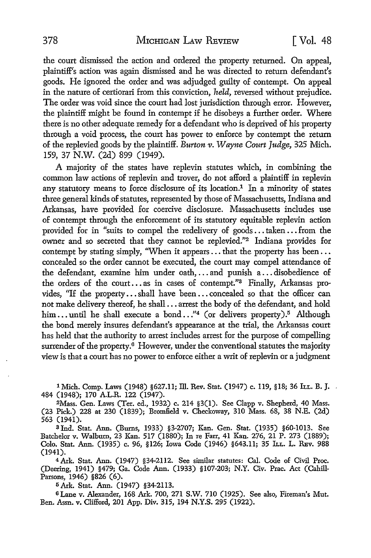the court dismissed the action and ordered the property returned. On appeal, plaintiff's action was again dismissed and he was directed to return defendant's goods. He ignored the order and was adjudged guilty of contempt. On appeal in the nature of certiorari from this conviction, *held,* reversed without prejudice. The order was void since the court had lost jurisdiction through error. However, the plaintiff might be found in contempt if he disobeys a further order. Where there is no other adequate remedy for a defendant who is deprived of his property through a void process, the court has power to enforce by contempt the return of the replevied goods by the plaintiff. *Burton v. Wayne Court Judge,* 325 Mich. 159, 37 N.W. (2d) 899 (1949).

A majority of the states have replevin statutes which, in combining the common law actions of replevin and trover, do not afford a plaintiff in replevin any statutory means to force disclosure of its location.<sup>1</sup> In a minority of states three general kinds of statutes, represented by those of Massachusetts, Indiana and Arkansas, have provided for coercive disclosure. Massachusetts includes use of contempt through the enforcement of its statutory equitable replevin action provided for in "suits to compel the redelivery of goods ... taken ... from the owner and so secreted that they cannot be replevied."2 Indiana provides for contempt by stating simply, ''When it appears ... that the property has been ... concealed so the order cannot be executed, the court may compel attendance of the defendant, examine him under oath, ... and punish a ... disobedience of the orders of the court ... as in cases of contempt."3 Finally, Arkansas provides, "If the property ... shall have been ... concealed so that the officer can not make delivery thereof, he shall ... arrest the body of the defendant, and hold him ... until he shall execute a bond ..."<sup>4</sup> (or delivers property).<sup>5</sup> Although the bond merely insures defendant's appearance at the trial, the Arkansas court has held that the authority to arrest includes arrest for the purpose of compelling surrender of the property. $6$  However, under the conventional statutes the majority view is that a court has no power to enforce either a writ of replevin or a judgment

<sup>1</sup> Mich. Comp. Laws (1948) §627.11; Ill. Rev. Stat. (1947) c. 119, §18; 36 ILL. B. J. 484 (1948); 170 A.L.R. 122 (1947).

2Mass. Gen. Laws (Ter. ed., 1932) c. 214 §3(1). See Clapp v. Shepherd, 40 Mass. (23 Pick.) 228 at 230 (1839); Bromfield v. Checkoway, 310 Mass. 68, 38 N.E. (2d) 563 (1941).

<sup>3</sup>Ind. Stat. Ann. (Burns, 1933) §3-2707; Kan. Gen. Stat. (1935) §60-1013. See Batchelor v. Walburn, 23 Kan. 517 (1880); In re Farr, 41 Kan. 276, 21 P. 273 (1889); Colo. Stat. Ann. (1935) c. 96, §126; Iowa Code (1946) §643.11; 35 ILL. L. REv. 988 (1941).

<sup>4</sup>Ark. Stat. Ann. (1947) §34-2112. See similar statutes: Cal. Code of Civil Proc. (Deering, 1941) §479; Ga. Code Ann. (1933) §107-203; N.Y. Civ. Prac. Act (Cahill-Parsons, 1946) §826 (6).

<sup>5</sup>Ark. Stat. Ann. (1947) §34-2113.

6 Lane v. Alexander, 168 Ark. 700, 271 S.W. 710 (1925). See also, Fireman's Mut. Ben. Assn. v. Clifford, 201 App. Div. 315, 194 N.Y.S. 295 (1922).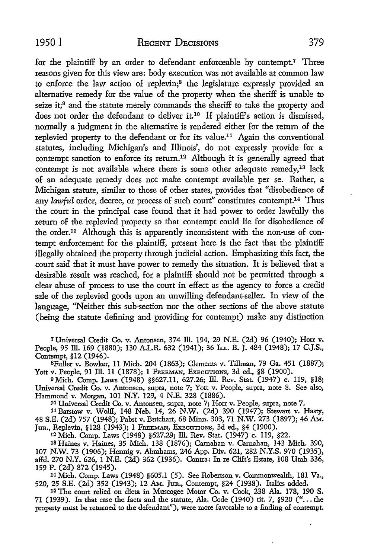for the plaintiff by an order to defendant enforceable by contempt.<sup>7</sup> Three reasons given for this view are: body execution was not available at common law to enforce the law action of replevin;<sup>8</sup> the legislature expressly provided an alternative remedy for the value of the property when the sheriff is unable *to*  seize it;9 and the statute merely commands the sheriff *to* take the property and does not order the defendant to deliver it.10 If plaintiff's action is dismissed, normally a judgment in the alternative is rendered either for the return of the replevied property to the defendant or for its value.<sup>11</sup> Again the conventional statutes, including Michigan's and Illinois', do not expressly provide for a contempt sanction to enforce its return.12 Although it is generally agreed that contempt is not available where there is some other adequate remedy,<sup>13</sup> lack of an adequate remedy does not make contempt available per se. Rather, a Michigan statute, similar to those of other states, provides that "disobedience of any *lawful* order, decree, or process of such court" constitutes contempt.<sup>14</sup> Thus the court in the principal case found that it had power to order lawfully the return of the replevied property so that contempt could lie for disobedience of the order.15 Although this is apparently inconsistent with the non-use of contempt enforcement for the plaintiff, present here is the fact that the plaintiff illegally obtained the property through judicial action. Emphasizing this fact, the court said that it must have power to remedy the situation. It is believed that a desirable result was reached, for a plaintiff should not be permitted through a clear abuse of process to use the court in effect as the agency to force a credit sale of the replevied goods upon an unwilling defendant-seller. In view of the language, "Neither this sub-section nor the other sections of the above statute (being the statute defining and providing for contempt) make any distinction

<sup>7</sup>Universal Credit Co. v. Antonsen, 374 ill. 194, 29 N.E. (2d) 96 (1940); Horr v. People, 95 Ill. 169 (1880); 130 A.L.R. 632 (1941); 36 ILL. B. J. 484 (1948); 17 C.J.S., Contempt, §12 (1946).

8Fuller v. Bowker, 11 Mich. 204 (1863); Clements v. Tillman, 79 Ga. 451 (1887); Yott v. People, 91 *III.* 11 (1878); 1 FREEMAN, EXECUTIONS, 3d ed., §8 (1900).

<sup>9</sup> Mich. Comp. Laws (1948) §§627.11, 627.26; Ill. Rev. Stat. (1947) c. 119, §18; Universal Credit Co. v. Antonsen, supra, note 7; Yott v. People, supra, note 8- See also, Hammond v. Morgan, 101 N.Y. 129, 4 N.E. 328 (1886).

10 Universal Credit Co. v. Antonsen, supra, note 7; Horr v. People, supra, note 7.

11 Barstow v. Wolff, 148 Neb. 14, 26 N.W. (2d) 390 (1947); Stewart v. Hasty, 48 S.E. (2d) 757 (1948); Pabst v. Butchart, 68 Minn. 303, 71 N.W. 273 (1897); 46 AM. Jun., Replevin, §128 (1943); 1 FREEMAN, EXECUTIONS, 3d ed., §4 (1900).

12 Mich. Comp. Laws (1948) §627.29; ill. Rev. Stat. (1947) c. 119, §22.

13 Haines v. Haines, 35 Mich. 138 (1876); Carnahan v. Carnahan, 143 Mich. 390, 107 N.W. 73 (1906); Hennig v. Abrahams, 246 App. Div. 621, 282 N.Y.S. 970 (1935), affd. 270 N.Y. 626, 1 N.E. (2d) 362 (1936). Contra: In re Clift's Estate, 108 Utah 336, 159 P. (2d) 872 (1945).

14 Mich. Comp. Laws (1948) §605.1 (5). See Robertson v. Commonwealth, 181 Va., 520, 25 S.E. (2d) 352 (1943); 12 AM. Jun., Contempt, §24 (1938). Italics added.

15 The court relied on dicta in Muscogee Motor Co. v. Cook, 238 Ala. 178, 190 S. 71 (1939). In that case the facts and the statute, Ala. Code (1940) tit. 7, §920 ("... the property must be returned to the defendant"), were more favorable to a finding of contempt.